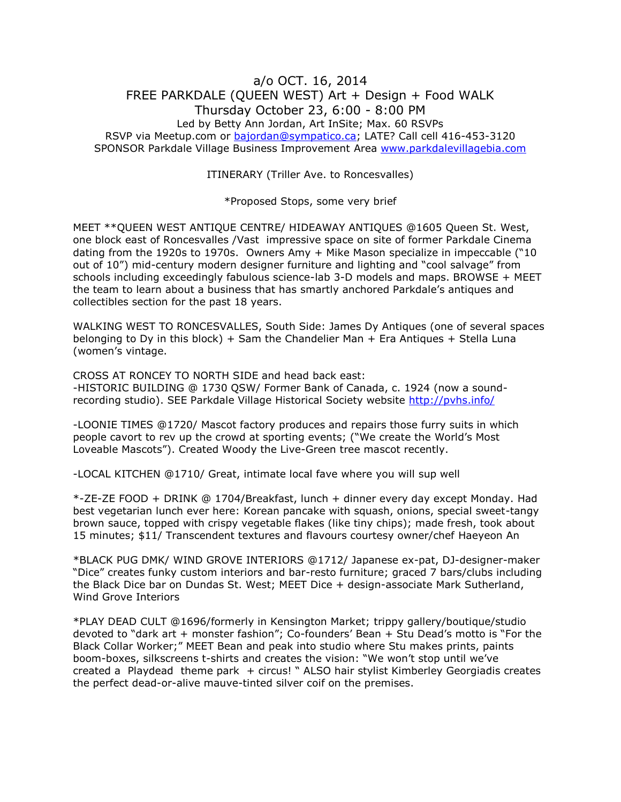## a/o OCT. 16, 2014 FREE PARKDALE (QUEEN WEST) Art + Design + Food WALK Thursday October 23, 6:00 - 8:00 PM Led by Betty Ann Jordan, Art InSite; Max. 60 RSVPs RSVP via Meetup.com or [bajordan@sympatico.ca;](mailto:bajordan@sympatico.ca) LATE? Call cell 416-453-3120 SPONSOR Parkdale Village Business Improvement Area [www.parkdalevillagebia.com](http://www.parkdalevillagebia.com/)

ITINERARY (Triller Ave. to Roncesvalles)

\*Proposed Stops, some very brief

MEET \*\*QUEEN WEST ANTIQUE CENTRE/ HIDEAWAY ANTIQUES @1605 Queen St. West, one block east of Roncesvalles /Vast impressive space on site of former Parkdale Cinema dating from the 1920s to 1970s. Owners Amy + Mike Mason specialize in impeccable ("10 out of 10") mid-century modern designer furniture and lighting and "cool salvage" from schools including exceedingly fabulous science-lab 3-D models and maps. BROWSE + MEET the team to learn about a business that has smartly anchored Parkdale's antiques and collectibles section for the past 18 years.

WALKING WEST TO RONCESVALLES, South Side: James Dy Antiques (one of several spaces belonging to Dy in this block) + Sam the Chandelier Man + Era Antiques + Stella Luna (women's vintage.

CROSS AT RONCEY TO NORTH SIDE and head back east: -HISTORIC BUILDING @ 1730 QSW/ Former Bank of Canada, c. 1924 (now a soundrecording studio). SEE Parkdale Village Historical Society website<http://pvhs.info/>

-LOONIE TIMES @1720/ Mascot factory produces and repairs those furry suits in which people cavort to rev up the crowd at sporting events; ("We create the World's Most Loveable Mascots"). Created Woody the Live-Green tree mascot recently.

-LOCAL KITCHEN @1710/ Great, intimate local fave where you will sup well

\*-ZE-ZE FOOD + DRINK @ 1704/Breakfast, lunch + dinner every day except Monday. Had best vegetarian lunch ever here: Korean pancake with squash, onions, special sweet-tangy brown sauce, topped with crispy vegetable flakes (like tiny chips); made fresh, took about 15 minutes; \$11/ Transcendent textures and flavours courtesy owner/chef Haeyeon An

\*BLACK PUG DMK/ WIND GROVE INTERIORS @1712/ Japanese ex-pat, DJ-designer-maker "Dice" creates funky custom interiors and bar-resto furniture; graced 7 bars/clubs including the Black Dice bar on Dundas St. West; MEET Dice + design-associate Mark Sutherland, Wind Grove Interiors

\*PLAY DEAD CULT @1696/formerly in Kensington Market; trippy gallery/boutique/studio devoted to "dark art + monster fashion"; Co-founders' Bean + Stu Dead's motto is "For the Black Collar Worker;" MEET Bean and peak into studio where Stu makes prints, paints boom-boxes, silkscreens t-shirts and creates the vision: "We won't stop until we've created a Playdead theme park + circus! " ALSO hair stylist Kimberley Georgiadis creates the perfect dead-or-alive mauve-tinted silver coif on the premises.